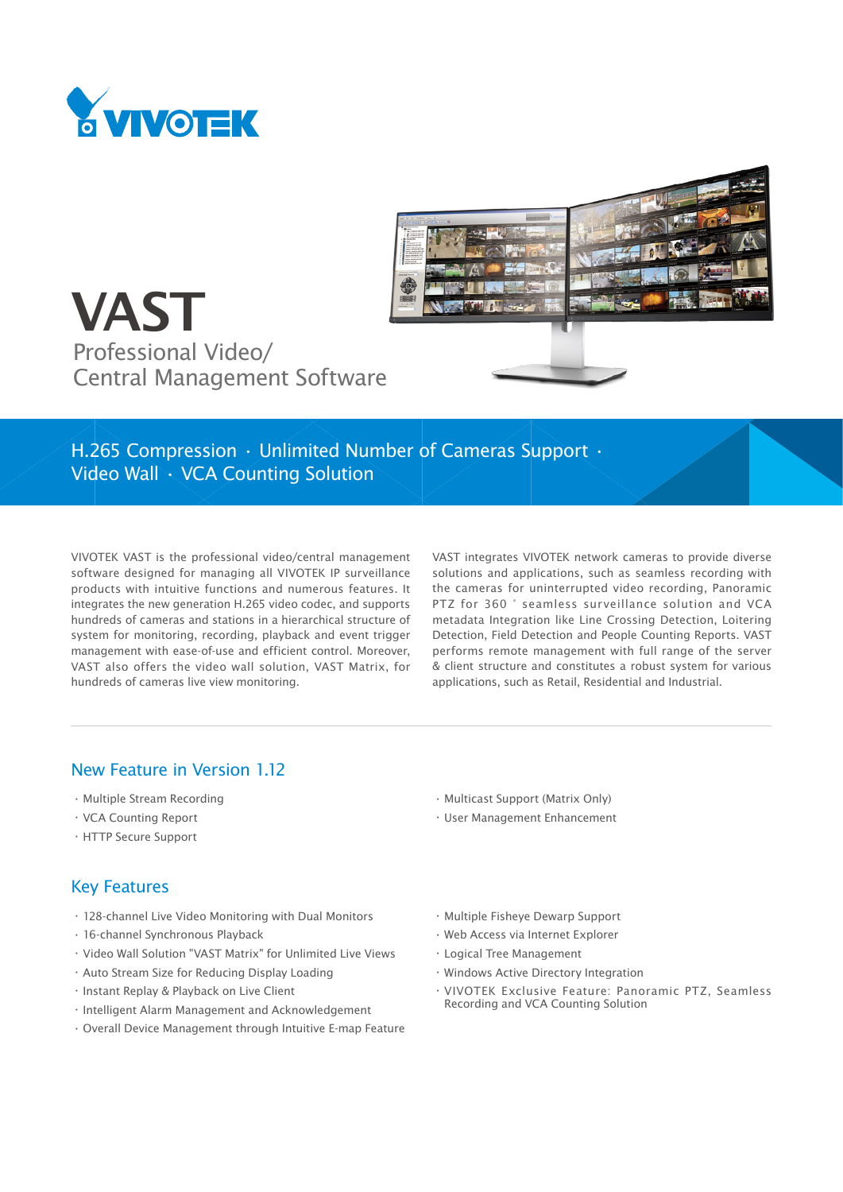





H.265 Compression • Unlimited Number of Cameras Support • Video Wall • VCA Counting Solution

VIVOTEK VAST is the professional video/central management software designed for managing all VIVOTEK IP surveillance products with intuitive functions and numerous features. It integrates the new generation H.265 video codec, and supports hundreds of cameras and stations in a hierarchical structure of system for monitoring, recording, playback and event trigger management with ease-of-use and efficient control. Moreover, VAST also offers the video wall solution, VAST Matrix, for hundreds of cameras live view monitoring.

VAST integrates VIVOTEK network cameras to provide diverse solutions and applications, such as seamless recording with the cameras for uninterrupted video recording, Panoramic PTZ for 360 ° seamless surveillance solution and VCA metadata Integration like Line Crossing Detection, Loitering Detection, Field Detection and People Counting Reports. VAST performs remote management with full range of the server & client structure and constitutes a robust system for various applications, such as Retail, Residential and Industrial.

### New Feature in Version 1.12

- • Multiple Stream Recording
- • VCA Counting Report
- • HTTP Secure Support

### Key Features

- • 128-channel Live Video Monitoring with Dual Monitors
- • 16-channel Synchronous Playback
- • Video Wall Solution "VAST Matrix" for Unlimited Live Views
- • Auto Stream Size for Reducing Display Loading
- • Instant Replay & Playback on Live Client
- • Intelligent Alarm Management and Acknowledgement
- • Overall Device Management through Intuitive E-map Feature
- • Multicast Support (Matrix Only)
- • User Management Enhancement
- • Multiple Fisheye Dewarp Support
- • Web Access via Internet Explorer
- • Logical Tree Management
- • Windows Active Directory Integration
- • VIVOTEK Exclusive Feature: Panoramic PTZ, Seamless Recording and VCA Counting Solution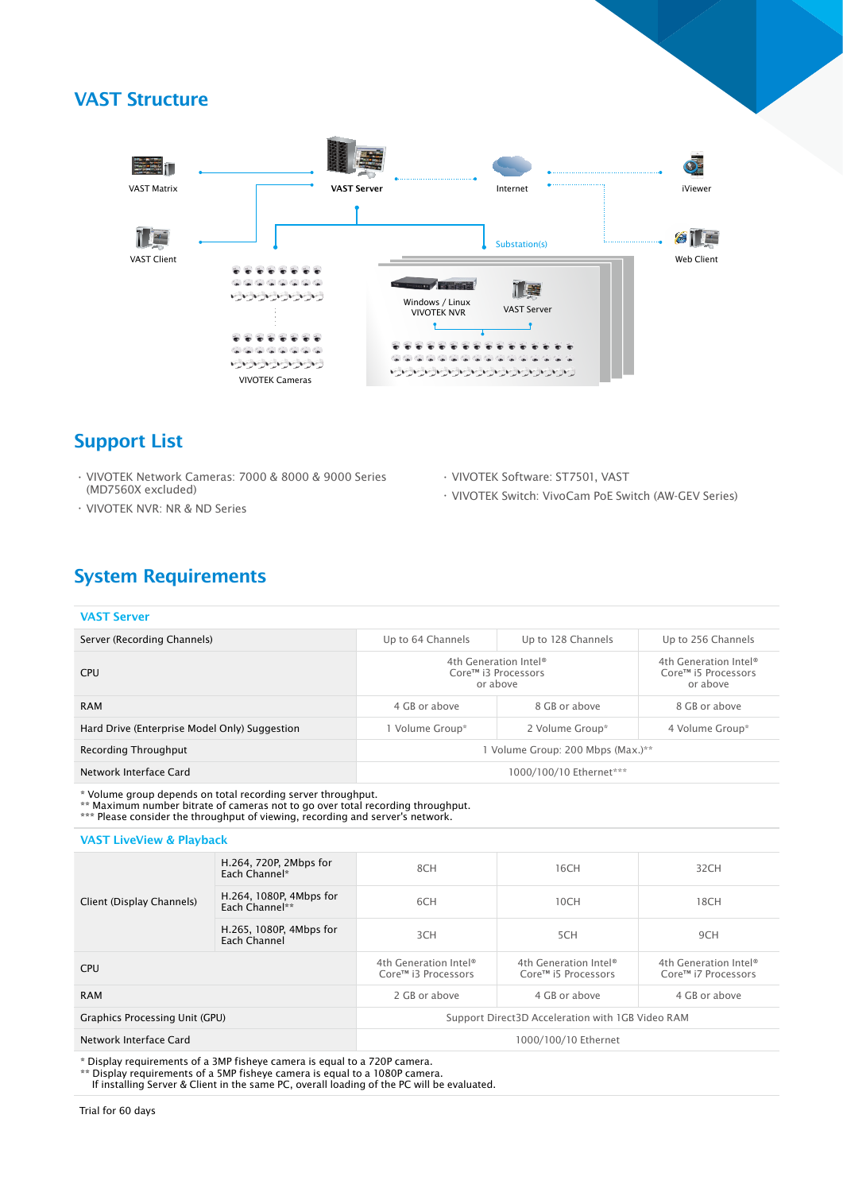## VAST Structure



## Support List

- • VIVOTEK Network Cameras: 7000 & 8000 & 9000 Series (MD7560X excluded)
- • VIVOTEK NVR: NR & ND Series
- • VIVOTEK Software: ST7501, VAST
- • VIVOTEK Switch: VivoCam PoE Switch (AW-GEV Series)

# System Requirements

| <b>VAST Server</b>                            |                                                          |                    |                                                          |
|-----------------------------------------------|----------------------------------------------------------|--------------------|----------------------------------------------------------|
| Server (Recording Channels)                   | Up to 64 Channels                                        | Up to 128 Channels | Up to 256 Channels                                       |
| <b>CPU</b>                                    | 4th Generation Intel®<br>Core™ i3 Processors<br>or above |                    | 4th Generation Intel®<br>Core™ i5 Processors<br>or above |
| <b>RAM</b>                                    | 8 GB or above<br>4 GB or above                           |                    | 8 GB or above                                            |
| Hard Drive (Enterprise Model Only) Suggestion | 1 Volume Group*<br>2 Volume Group*                       |                    | 4 Volume Group*                                          |
| Recording Throughput                          | 1 Volume Group: 200 Mbps (Max.)**                        |                    |                                                          |
| Network Interface Card                        | 1000/100/10 Ethernet***                                  |                    |                                                          |

\* Volume group depends on total recording server throughput.

\*\* Maximum number bitrate of cameras not to go over total recording throughput.

\*\*\* Please consider the throughput of viewing, recording and server's network.

VAST LiveView & Playback

| Client (Display Channels)      | H.264, 720P, 2Mbps for<br>Each Channel*   | 8CH                                              | 16CH                                         | 32CH                                         |
|--------------------------------|-------------------------------------------|--------------------------------------------------|----------------------------------------------|----------------------------------------------|
|                                | H.264, 1080P, 4Mbps for<br>Each Channel** | 6CH                                              | 10CH                                         | 18CH                                         |
|                                | H.265, 1080P, 4Mbps for<br>Each Channel   | 3CH                                              | 5CH                                          | 9CH                                          |
| <b>CPU</b>                     |                                           | 4th Generation Intel®<br>Core™ i3 Processors     | 4th Generation Intel®<br>Core™ i5 Processors | 4th Generation Intel®<br>Core™ i7 Processors |
| <b>RAM</b>                     |                                           | 2 GB or above                                    | 4 GB or above                                | 4 GB or above                                |
| Graphics Processing Unit (GPU) |                                           | Support Direct3D Acceleration with 1GB Video RAM |                                              |                                              |
| Network Interface Card         |                                           | 1000/100/10 Ethernet                             |                                              |                                              |

\* Display requirements of a 3MP fisheye camera is equal to a 720P camera.

\*\* Display requirements of a 5MP fisheye camera is equal to a 1080P camera.

If installing Server & Client in the same PC, overall loading of the PC will be evaluated.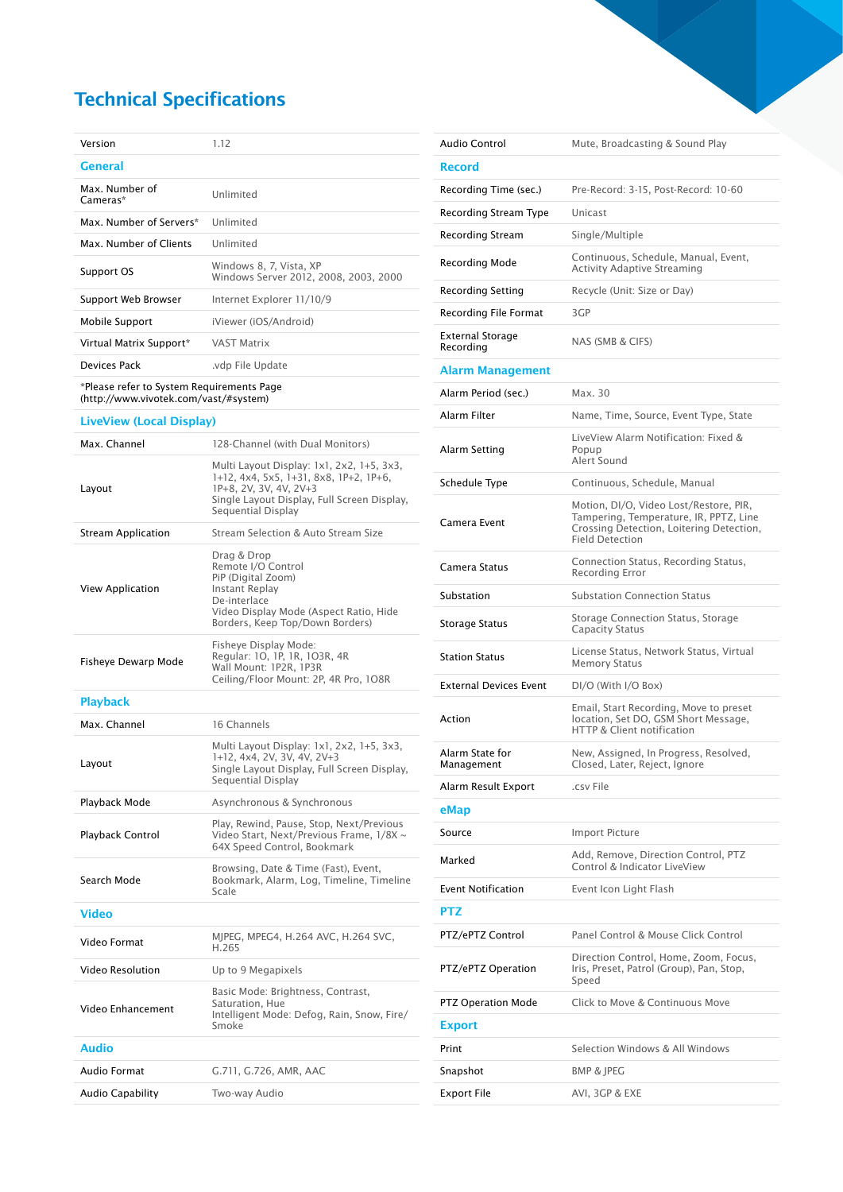# Technical Specifications

| Version                   | 1.12                                                             |
|---------------------------|------------------------------------------------------------------|
| General                   |                                                                  |
| Max Number of<br>Cameras* | Unlimited                                                        |
| Max Number of Servers*    | <b>Unlimited</b>                                                 |
| Max. Number of Clients    | Unlimited                                                        |
|                           |                                                                  |
| Support OS                | Windows 8, 7, Vista, XP<br>Windows Server 2012, 2008, 2003, 2000 |
| Support Web Browser       | Internet Explorer 11/10/9                                        |
| <b>Mobile Support</b>     | iViewer (iOS/Android)                                            |
| Virtual Matrix Support*   | <b>VAST Matrix</b>                                               |
| Devices Pack              | vdp File Update.                                                 |

\*Please refer to System Requirements Page (http://www.vivotek.com/vast/#system)

#### LiveView (Local Display)

| Max. Channel              | 128-Channel (with Dual Monitors)                                                                                                                                                   |
|---------------------------|------------------------------------------------------------------------------------------------------------------------------------------------------------------------------------|
| Layout                    | Multi Layout Display: 1x1, 2x2, 1+5, 3x3,<br>1+12, 4x4, 5x5, 1+31, 8x8, 1P+2, 1P+6,<br>1P+8, 2V, 3V, 4V, 2V+3<br>Single Layout Display, Full Screen Display,<br>Sequential Display |
| <b>Stream Application</b> | Stream Selection & Auto Stream Size                                                                                                                                                |
| View Application          | Drag & Drop<br>Remote I/O Control<br>PiP (Digital Zoom)<br>Instant Replay<br>De-interlace<br>Video Display Mode (Aspect Ratio, Hide<br>Borders, Keep Top/Down Borders)             |
| Fisheye Dewarp Mode       | Fisheye Display Mode:<br>Regular: 10, 1P, 1R, 103R, 4R<br>Wall Mount: 1P2R, 1P3R<br>Ceiling/Floor Mount: 2P, 4R Pro, 1O8R                                                          |
| <b>Playback</b>           |                                                                                                                                                                                    |
| Max. Channel              | 16 Channels                                                                                                                                                                        |
| Layout                    | Multi Layout Display: 1x1, 2x2, 1+5, 3x3,<br>1+12, 4x4, 2V, 3V, 4V, 2V+3<br>Single Layout Display, Full Screen Display,<br>Sequential Display                                      |
| Playback Mode             | Asynchronous & Synchronous                                                                                                                                                         |
| Playback Control          | Play, Rewind, Pause, Stop, Next/Previous<br>Video Start, Next/Previous Frame, 1/8X ~<br>64X Speed Control, Bookmark                                                                |
| Search Mode               | Browsing, Date & Time (Fast), Event,<br>Bookmark, Alarm, Log, Timeline, Timeline<br>Scale                                                                                          |
| Video                     |                                                                                                                                                                                    |
| Video Format              | MJPEG, MPEG4, H.264 AVC, H.264 SVC,<br>H.265                                                                                                                                       |
| Video Resolution          | Up to 9 Megapixels                                                                                                                                                                 |
| Video Enhancement         | Basic Mode: Brightness, Contrast,<br>Saturation, Hue<br>Intelligent Mode: Defog, Rain, Snow, Fire/<br>Smoke                                                                        |
| Audio                     |                                                                                                                                                                                    |
| Audio Format              | G.711, G.726, AMR, AAC                                                                                                                                                             |
| Audio Capability          | Two-way Audio                                                                                                                                                                      |

| <b>Audio Control</b>          | Mute, Broadcasting & Sound Play                                                                                                                        |
|-------------------------------|--------------------------------------------------------------------------------------------------------------------------------------------------------|
| <b>Record</b>                 |                                                                                                                                                        |
| Recording Time (sec.)         | Pre-Record: 3-15, Post-Record: 10-60                                                                                                                   |
| Recording Stream Type         | Unicast                                                                                                                                                |
| Recording Stream              | Single/Multiple                                                                                                                                        |
| Recording Mode                | Continuous, Schedule, Manual, Event,<br><b>Activity Adaptive Streaming</b>                                                                             |
| Recording Setting             | Recycle (Unit: Size or Day)                                                                                                                            |
| <b>Recording File Format</b>  | 3GP                                                                                                                                                    |
| External Storage<br>Recording | NAS (SMB & CIFS)                                                                                                                                       |
| Alarm Management              |                                                                                                                                                        |
| Alarm Period (sec.)           | Max. 30                                                                                                                                                |
| Alarm Filter                  | Name, Time, Source, Event Type, State                                                                                                                  |
| Alarm Setting                 | LiveView Alarm Notification: Fixed &<br>Popup<br>Alert Sound                                                                                           |
| Schedule Type                 | Continuous, Schedule, Manual                                                                                                                           |
| Camera Event                  | Motion, DI/O, Video Lost/Restore, PIR,<br>Tampering, Temperature, IR, PPTZ, Line<br>Crossing Detection, Loitering Detection,<br><b>Field Detection</b> |
| Camera Status                 | Connection Status, Recording Status,<br>Recording Error                                                                                                |
| Substation                    | <b>Substation Connection Status</b>                                                                                                                    |
| Storage Status                | Storage Connection Status, Storage<br><b>Capacity Status</b>                                                                                           |
| <b>Station Status</b>         | License Status, Network Status, Virtual<br><b>Memory Status</b>                                                                                        |
| <b>External Devices Event</b> | DI/O (With I/O Box)                                                                                                                                    |
| Action                        | Email, Start Recording, Move to preset<br>location. Set DO. GSM Short Message.<br>HTTP & Client notification                                           |
| Alarm State for<br>Management | New, Assigned, In Progress, Resolved,<br>Closed, Later, Reject, Ignore                                                                                 |
| Alarm Result Export           | .csv File                                                                                                                                              |
| eMap                          |                                                                                                                                                        |
| Source                        | <b>Import Picture</b>                                                                                                                                  |
| Marked                        | Add, Remove, Direction Control, PTZ<br>Control & Indicator LiveView                                                                                    |
| <b>Event Notification</b>     | Event Icon Light Flash                                                                                                                                 |
| PTZ                           |                                                                                                                                                        |
| PTZ/ePTZ Control              | Panel Control & Mouse Click Control                                                                                                                    |
| PTZ/ePTZ Operation            | Direction Control, Home, Zoom, Focus,<br>Iris, Preset, Patrol (Group), Pan, Stop,<br>Speed                                                             |
| <b>PTZ Operation Mode</b>     | Click to Move & Continuous Move                                                                                                                        |
| <b>Export</b>                 |                                                                                                                                                        |
| Print                         | Selection Windows & All Windows                                                                                                                        |
| Snapshot                      | <b>BMP &amp; JPEG</b>                                                                                                                                  |
| <b>Export File</b>            | AVI, 3GP & EXE                                                                                                                                         |
|                               |                                                                                                                                                        |